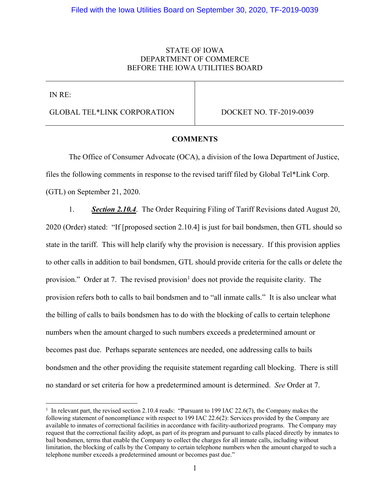## STATE OF IOWA DEPARTMENT OF COMMERCE BEFORE THE IOWA UTILITIES BOARD

IN RE:

GLOBAL TEL\*LINK CORPORATION DOCKET NO. TF-2019-0039

## **COMMENTS**

The Office of Consumer Advocate (OCA), a division of the Iowa Department of Justice, files the following comments in response to the revised tariff filed by Global Tel\*Link Corp. (GTL) on September 21, 2020.

1. *Section 2.10.4*. The Order Requiring Filing of Tariff Revisions dated August 20, 2020 (Order) stated: "If [proposed section 2.10.4] is just for bail bondsmen, then GTL should so state in the tariff. This will help clarify why the provision is necessary. If this provision applies to other calls in addition to bail bondsmen, GTL should provide criteria for the calls or delete the provision." Order at 7. The revised provision<sup>[1](#page-0-0)</sup> does not provide the requisite clarity. The provision refers both to calls to bail bondsmen and to "all inmate calls." It is also unclear what the billing of calls to bails bondsmen has to do with the blocking of calls to certain telephone numbers when the amount charged to such numbers exceeds a predetermined amount or becomes past due. Perhaps separate sentences are needed, one addressing calls to bails bondsmen and the other providing the requisite statement regarding call blocking. There is still no standard or set criteria for how a predetermined amount is determined. *See* Order at 7.

<span id="page-0-0"></span><sup>&</sup>lt;sup>1</sup> In relevant part, the revised section 2.10.4 reads: "Pursuant to 199 IAC 22.6(7), the Company makes the following statement of noncompliance with respect to 199 IAC 22.6(2): Services provided by the Company are available to inmates of correctional facilities in accordance with facility-authorized programs. The Company may request that the correctional facility adopt, as part of its program and pursuant to calls placed directly by inmates to bail bondsmen, terms that enable the Company to collect the charges for all inmate calls, including without limitation, the blocking of calls by the Company to certain telephone numbers when the amount charged to such a telephone number exceeds a predetermined amount or becomes past due."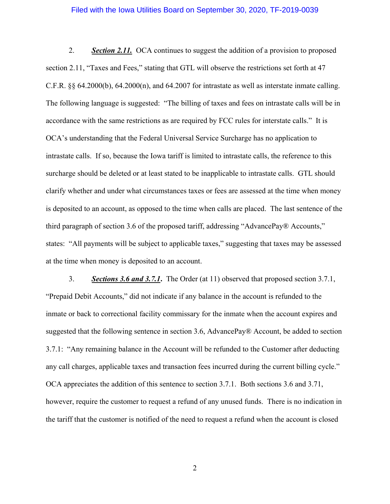## Filed with the Iowa Utilities Board on September 30, 2020, TF-2019-0039

2. *Section 2.11.* OCA continues to suggest the addition of a provision to proposed section 2.11, "Taxes and Fees," stating that GTL will observe the restrictions set forth at 47 C.F.R. §§ 64.2000(b), 64.2000(n), and 64.2007 for intrastate as well as interstate inmate calling. The following language is suggested: "The billing of taxes and fees on intrastate calls will be in accordance with the same restrictions as are required by FCC rules for interstate calls." It is OCA's understanding that the Federal Universal Service Surcharge has no application to intrastate calls. If so, because the Iowa tariff is limited to intrastate calls, the reference to this surcharge should be deleted or at least stated to be inapplicable to intrastate calls. GTL should clarify whether and under what circumstances taxes or fees are assessed at the time when money is deposited to an account, as opposed to the time when calls are placed. The last sentence of the third paragraph of section 3.6 of the proposed tariff, addressing "AdvancePay® Accounts," states: "All payments will be subject to applicable taxes," suggesting that taxes may be assessed at the time when money is deposited to an account.

3. *Sections 3.6 and 3.7.1***.** The Order (at 11) observed that proposed section 3.7.1, "Prepaid Debit Accounts," did not indicate if any balance in the account is refunded to the inmate or back to correctional facility commissary for the inmate when the account expires and suggested that the following sentence in section 3.6, AdvancePay® Account, be added to section 3.7.1: "Any remaining balance in the Account will be refunded to the Customer after deducting any call charges, applicable taxes and transaction fees incurred during the current billing cycle." OCA appreciates the addition of this sentence to section 3.7.1. Both sections 3.6 and 3.71, however, require the customer to request a refund of any unused funds. There is no indication in the tariff that the customer is notified of the need to request a refund when the account is closed

2